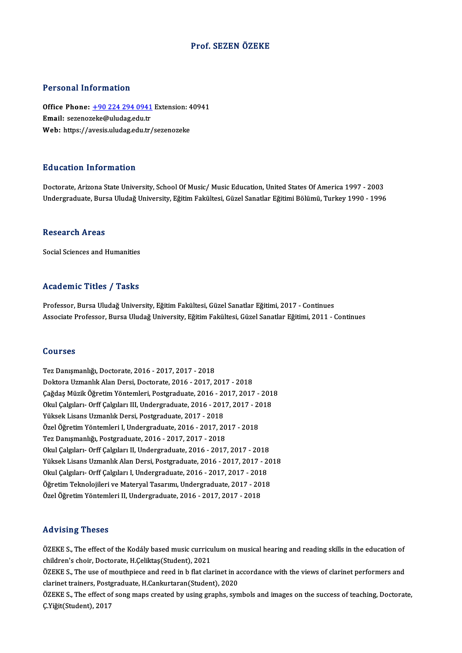## Prof. SEZEN ÖZEKE

## Personal Information

Personal Information<br>Office Phone: <u>+90 224 294 0941</u> Extension: 40941<br>Email: serenereke@uludes.edu.tr Processia Emacronicus<br>Office Phone: <u>+90 224 294 0941</u><br>Email: sezenoz[eke@uludag.edu.tr](tel:+90 224 294 0941) Office Phone: <u>+90 224 294 0941</u> Extension: 4<br>Email: sezenozeke@uludag.edu.tr<br>Web: https://avesis.uludag.edu.tr/sezenozeke Web: https://avesis.uludag.edu.tr/sezenozeke<br>Education Information

Doctorate, Arizona State University, School Of Music/ Music Education, United States Of America 1997 - 2003 Undergraduate, Bursa Uludağ University, Eğitim Fakültesi, Güzel Sanatlar Eğitimi Bölümü, Turkey 1990 - 1996

### **Research Areas**

Social Sciences and Humanities

## Academic Titles / Tasks

Professor, Bursa Uludağ University, Eğitim Fakültesi, Güzel Sanatlar Eğitimi, 2017 - Continues Associate Professor, Bursa Uludağ University, Eğitim Fakültesi, Güzel Sanatlar Eğitimi, 2011 - Continues

## Courses

TezDanışmanlığı,Doctorate,2016 -2017,2017 -2018 DoktoraUzmanlıkAlanDersi,Doctorate,2016 -2017,2017 -2018 Tez Danışmanlığı, Doctorate, 2016 - 2017, 2017 - 2018<br>Doktora Uzmanlık Alan Dersi, Doctorate, 2016 - 2017, 2017 - 2018<br>Çağdaş Müzik Öğretim Yöntemleri, Postgraduate, 2016 - 2017, 2017 - 2018<br>Olay Cakriları, Orff Cakriları Doktora Uzmanlık Alan Dersi, Doctorate, 2016 - 2017, 2017 - 2018<br>Çağdaş Müzik Öğretim Yöntemleri, Postgraduate, 2016 - 2017, 2017 - 201<br>Okul Çalgıları- Orff Çalgıları III, Undergraduate, 2016 - 2017, 2017 - 2018<br>Yüksek Lis Çağdaş Müzik Öğretim Yöntemleri, Postgraduate, 2016 - 20<br>Okul Çalgıları- Orff Çalgıları III, Undergraduate, 2016 - 201<br>Yüksek Lisans Uzmanlık Dersi, Postgraduate, 2017 - 2018<br>Özel Öğretim Yöntemleri I. Undergraduate, 2016 Okul Çalgıları- Orff Çalgıları III, Undergraduate, 2016 - 2017, 2017 - 20<br>Yüksek Lisans Uzmanlık Dersi, Postgraduate, 2017 - 2018<br>Özel Öğretim Yöntemleri I, Undergraduate, 2016 - 2017, 2017 - 2018<br>Ter Danısmanlığı, Postgra Yüksek Lisans Uzmanlık Dersi, Postgraduate, 2017 - 2018<br>Özel Öğretim Yöntemleri I, Undergraduate, 2016 - 2017, 20<br>Tez Danışmanlığı, Postgraduate, 2016 - 2017, 2017 - 2018<br>Olay Calmlam, Orff Calmlam II, Undergraduate, 2016, Özel Öğretim Yöntemleri I, Undergraduate, 2016 - 2017, 2017 - 2018<br>Tez Danışmanlığı, Postgraduate, 2016 - 2017, 2017 - 2018<br>Okul Çalgıları- Orff Çalgıları II, Undergraduate, 2016 - 2017, 2017 - 2018<br>Yüksek Lisens Hamenlık Tez Danışmanlığı, Postgraduate, 2016 - 2017, 2017 - 2018<br>Okul Çalgıları- Orff Çalgıları II, Undergraduate, 2016 - 2017, 2017 - 2018<br>Yüksek Lisans Uzmanlık Alan Dersi, Postgraduate, 2016 - 2017, 2017 - 2018<br>Okul Çalgıları, Okul Çalgıları- Orff Çalgıları II, Undergraduate, 2016 - 2017, 2017 - 2018<br>Yüksek Lisans Uzmanlık Alan Dersi, Postgraduate, 2016 - 2017, 2017 - 2<br>Okul Çalgıları- Orff Çalgıları I, Undergraduate, 2016 - 2017, 2017 - 2018<br>Öğ Yüksek Lisans Uzmanlık Alan Dersi, Postgraduate, 2016 - 2017, 2017 - 20<br>Okul Çalgıları- Orff Çalgıları I, Undergraduate, 2016 - 2017, 2017 - 2018<br>Öğretim Teknolojileri ve Materyal Tasarımı, Undergraduate, 2017 - 2018<br>Özel Okul Çalgıları- Orff Çalgıları I, Undergraduate, 2016 - 2017, 2017 - 2018<br>Öğretim Teknolojileri ve Materyal Tasarımı, Undergraduate, 2017 - 2018<br>Özel Öğretim Yöntemleri II, Undergraduate, 2016 - 2017, 2017 - 2018

### Advising Theses

Advising Theses<br>ÖZEKE S., The effect of the Kodály based music curriculum on musical hearing and reading skills in the education of<br>shildren's sheir, Pesterste H.Colilttes(Student), 2021 children's choirs<br>Children's choir, Doctorate, H.Çeliktaş(Student), 2021<br>Children's choir, Doctorate, H.Çeliktaş(Student), 2021 ÖZEKE S., The effect of the Kodály based music curriculum on musical hearing and reading skills in the education of<br>children's choir, Doctorate, H.Çeliktaş(Student), 2021<br>ÖZEKE S., The use of mouthpiece and reed in b flat

children's choir, Doctorate, H.Çeliktaş(Student), 2021<br>ÖZEKE S., The use of mouthpiece and reed in b flat clarinet in accordance with the views of clarinet performers and<br>clarinet trainers, Postgraduate, H.Cankurtaran(Stud ÖZEKE S., The use of mouthpiece and reed in b flat clarinet in accordance with the views of clarinet performers and<br>clarinet trainers, Postgraduate, H.Cankurtaran(Student), 2020<br>ÖZEKE S., The effect of song maps created by

clarinet trainers, Post<sub>{</sub><br>ÖZEKE S., The effect o<br>Ç.Yiğit(Student), 2017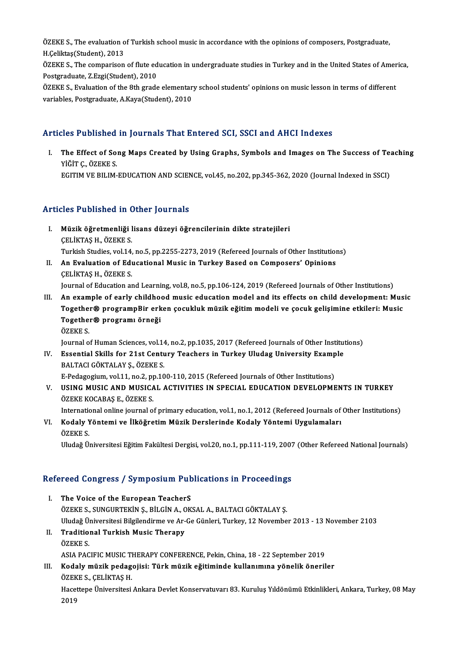ÖZEKE S., The evaluation of Turkish school music in accordance with the opinions of composers, Postgraduate,<br>H.Colilttes(Student), 2012 ÖZEKE S., The evaluation o<br>H.Çeliktaş(Student), 2013<br>ÖZEKE S., The comporison ÖZEKE S., The evaluation of Turkish school music in accordance with the opinions of composers, Postgraduate,<br>H.Çeliktaş(Student), 2013<br>ÖZEKE S., The comparison of flute education in undergraduate studies in Turkey and in t

H.Çeliktaş(Student), 2013<br>ÖZEKE S., The comparison of flute education in undergraduate studies in Turkey and in the United States of America,<br>Postgraduate, Z.Ezgi(Student), 2010 ÖZEKE S., The comparison of flute education in undergraduate studies in Turkey and in the United States of Amer<br>Postgraduate, Z.Ezgi(Student), 2010<br>ÖZEKE S., Evaluation of the 8th grade elementary school students' opinions

Postgraduate, Z.Ezgi(Student), 2010<br>ÖZEKE S., Evaluation of the 8th grade elementar<br>variables, Postgraduate, A.Kaya(Student), 2010

# variables, Postgraduate, A.Kaya(Student), 2010<br>Articles Published in Journals That Entered SCI, SSCI and AHCI Indexes

rticles Published in Journals That Entered SCI, SSCI and AHCI Indexes<br>I. The Effect of Song Maps Created by Using Graphs, Symbols and Images on The Success of Teaching<br>Vičing OZEKES THE Effect of So.<br>The Effect of So.<br>YİĞİT Ç., ÖZEKE S.<br>ECITIM VE BILIM The Effect of Song Maps Created by Using Graphs, Symbols and Images on The Success of Te:<br>YİĞİT Ç., ÖZEKE S.<br>EGITIM VE BILIM-EDUCATION AND SCIENCE, vol.45, no.202, pp.345-362, 2020 (Journal Indexed in SSCI) EGITIM VE BILIM-EDUCATION AND SCIENCE, vol.45, no.202, pp.345-362, 2020 (Journal Indexed in SSCI)<br>Articles Published in Other Journals

- rticles Published in Other Journals<br>I. Müzik öğretmenliği lisans düzeyi öğrencilerinin dikte stratejileri<br>CELİKTASH ÖZEKES Müzik öğretmenliği<br>Müzik öğretmenliği l<br>ÇELİKTAŞ H., ÖZEKE S.<br>Turkish Studies vol 14 Müzik öğretmenliği lisans düzeyi öğrencilerinin dikte stratejileri<br>ÇELİKTAŞ H., ÖZEKE S.<br>Turkish Studies, vol.14, no.5, pp.2255-2273, 2019 (Refereed Journals of Other Institutions)<br>An Evaluation of Educational Music in Tur CELIKTAS H., ÖZEKE S.<br>Turkish Studies, vol.14, no.5, pp.2255-2273, 2019 (Refereed Journals of Other Institution<br>II. An Evaluation of Educational Music in Turkey Based on Composers' Opinions<br>CELIKTAS H. ÖZEKE S.
- Turkish Studies, vol.14,<br>An Evaluation of Edu<br>CELİKTAŞ H., ÖZEKE S.<br>Journal of Education at An Evaluation of Educational Music in Turkey Based on Composers' Opinions<br>CELİKTAŞ H., ÖZEKE S.<br>Journal of Education and Learning, vol.8, no.5, pp.106-124, 2019 (Refereed Journals of Other Institutions)<br>An evernale of earl

CELIKTAŞ H., ÖZEKE S.<br>Journal of Education and Learning, vol.8, no.5, pp.106-124, 2019 (Refereed Journals of Other Institutions)<br>III. An example of early childhood music education model and its effects on child development Journal of Education and Learning, vol.8, no.5, pp.106-124, 2019 (Refereed Journals of Other Institutions)<br>An example of early childhood music education model and its effects on child development: Music<br>Together® programpB An example of early childho<br>Together® programpBir erk<br>Together® programı örneği<br>özrvr s Together® programpBir erken çocukluk müzik eğitim modeli ve çocuk gelişimine etkileri: Music<br>Together® programı örneği<br>ÖZEKE S.

Journal of Human Sciences, vol.14, no.2, pp.1035, 2017 (Refereed Journals of Other Institutions)

ÖZEKE S.<br>Journal of Human Sciences, vol.14, no.2, pp.1035, 2017 (Refereed Journals of Other Institut<br>IV. Essential Skills for 21st Century Teachers in Turkey Uludag University Example<br>RALTACLOÖKTALAY S. ÖZEKE S Journal of Human Sciences, vol.14<br>Essential Skills for 21st Centu<br>BALTACI GÖKTALAY Ş., ÖZEKE S.<br>E Pedegegium vol.11, no.2, nn.10 Essential Skills for 21st Century Teachers in Turkey Uludag University Examp<br>BALTACI GÖKTALAY Ş., ÖZEKE S.<br>E-Pedagogium, vol.11, no.2, pp.100-110, 2015 (Refereed Journals of Other Institutions)<br>USING MUSIC AND MUSICAL ACTI

BALTACI GÖKTALAY Ş., ÖZEKE S.<br>E-Pedagogium, vol.11, no.2, pp.100-110, 2015 (Refereed Journals of Other Institutions)<br>V. USING MUSIC AND MUSICAL ACTIVITIES IN SPECIAL EDUCATION DEVELOPMENTS IN TURKEY<br>ÖZEVE KOCARAS E. ÖZEVE E-Pedagogium, vol.11, no.2, p<br>**USING MUSIC AND MUSICA<br>ÖZEKE KOCABAŞ E., ÖZEKE S.**<br>International enline jeurnal e USING MUSIC AND MUSICAL ACTIVITIES IN SPECIAL EDUCATION DEVELOPMENTS IN TURKEY<br>ÖZEKE KOCABAŞ E., ÖZEKE S.<br>International online journal of primary education, vol.1, no.1, 2012 (Refereed Journals of Other Institutions)<br>Kodal

ÖZEKE KOCABAŞ E., ÖZEKE S.<br>International online journal of primary education, vol.1, no.1, 2012 (Refereed Journals of<br>VI. Kodaly Yöntemi ve İlköğretim Müzik Derslerinde Kodaly Yöntemi Uygulamaları<br>ÖZEKE S Internation<br>Kodaly<br>ÖZEKE S.<br>Uluda<del>č</del> Ü VI. Kodaly Yöntemi ve İlköğretim Müzik Derslerinde Kodaly Yöntemi Uygulamaları<br>ÖZEKE S.<br>Uludağ Üniversitesi Eğitim Fakültesi Dergisi, vol.20, no.1, pp.111-119, 2007 (Other Refereed National Journals)

# oludag oniversitesi Egium Fakultesi Dergisi, vol.20, no.1, pp.111-119, 2007<br>Refereed Congress / Symposium Publications in Proceedings

- **Example Example Symposium Public Service of the European TeacherS**<br>I. The Voice of the European TeacherS I. The Voice of the European TeacherS<br>ÖZEKE S., SUNGURTEKİN Ş., BİLGİN A., OKSAL A., BALTACI GÖKTALAY Ş. The Voice of the European TeacherS<br>ÖZEKE S., SUNGURTEKİN Ş., BİLGİN A., OKSAL A., BALTACI GÖKTALAY Ş.<br>Uludağ Üniversitesi Bilgilendirme ve Ar-Ge Günleri, Turkey, 12 November 2013 - 13 November 2103<br>Traditional Turkish Musi ÖZEKE S., SUNGURTEKİN Ş., BİLGİN A., C<br>Uludağ Üniversitesi Bilgilendirme ve Ar-<br>II. Traditional Turkish Music Therapy<br>ÖZEKE S
- Uludağ Ü<br>**Traditio**<br>ÖZEKE S.<br>ASIA BAC Traditional Turkish Music Therapy<br>ÖZEKE S.<br>ASIA PACIFIC MUSIC THERAPY CONFERENCE, Pekin, China, 18 - 22 September 2019<br>Kodely müzik podegejisi: Türk müzik eğitiminde kullanımıne vönelik öneril ÖZEKE S.<br>ASIA PACIFIC MUSIC THERAPY CONFERENCE, Pekin, China, 18 - 22 September 2019<br>III. Kodaly müzik pedagojisi: Türk müzik eğitiminde kullanımına yönelik öneriler
- ASIA PACIFIC MUSIC TI<br>**Kodaly müzik pedag**<br>ÖZEKE S., ÇELİKTAŞ H.<br>Hassitana Üniversitesi ÖZEKE S., ÇELİKTAŞ H.

Hacettepe Üniversitesi Ankara Devlet Konservatuvarı 83. Kuruluş Yıldönümü Etkinlikleri, Ankara, Turkey, 08 May<br>2019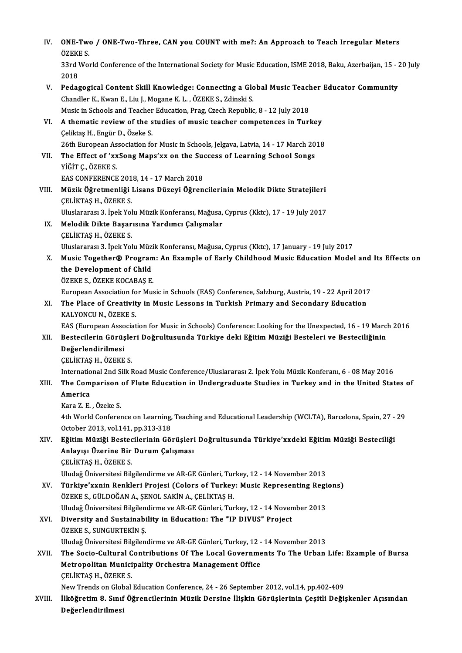| IV.    | ONE-Two / ONE-Two-Three, CAN you COUNT with me?: An Approach to Teach Irregular Meters<br>ÖZEKE S.                                                            |
|--------|---------------------------------------------------------------------------------------------------------------------------------------------------------------|
|        | 33rd World Conference of the International Society for Music Education, ISME 2018, Baku, Azerbaijan, 15 - 20 July<br>2018                                     |
| V.     | Pedagogical Content Skill Knowledge: Connecting a Global Music Teacher Educator Community<br>Chandler K., Kwan E., Liu J., Mogane K. L., ÖZEKE S., Zdinski S. |
|        | Music in Schools and Teacher Education, Prag, Czech Republic, 8 - 12 July 2018                                                                                |
| VI.    | A thematic review of the studies of music teacher competences in Turkey<br>Çeliktaş H., Engür D., Özeke S.                                                    |
|        | 26th European Association for Music in Schools, Jelgava, Latvia, 14 - 17 March 2018                                                                           |
| VII.   | The Effect of 'xxSong Maps'xx on the Success of Learning School Songs<br>YİĞİT Ç., ÖZEKE S.                                                                   |
|        | EAS CONFERENCE 2018, 14 - 17 March 2018                                                                                                                       |
| VIII.  | Müzik Öğretmenliği Lisans Düzeyi Öğrencilerinin Melodik Dikte Stratejileri<br><b>CELIKTAS H, ÖZEKE S</b>                                                      |
|        | Uluslararası 3. İpek Yolu Müzik Konferansı, Mağusa, Cyprus (Kktc), 17 - 19 July 2017                                                                          |
| IX.    | Melodik Dikte Başarısına Yardımcı Çalışmalar<br>ÇELİKTAŞ H., ÖZEKE S.                                                                                         |
|        | Uluslararası 3. İpek Yolu Müzik Konferansı, Mağusa, Cyprus (Kktc), 17 January - 19 July 2017                                                                  |
| Х.     | Music Together® Program: An Example of Early Childhood Music Education Model and Its Effects on                                                               |
|        | the Development of Child                                                                                                                                      |
|        | ÖZEKE S., ÖZEKE KOCABAŞ E.                                                                                                                                    |
|        | European Association for Music in Schools (EAS) Conference, Salzburg, Austria, 19 - 22 April 2017                                                             |
| XI.    | The Place of Creativity in Music Lessons in Turkish Primary and Secondary Education                                                                           |
|        | KALYONCU N., ÖZEKE S.                                                                                                                                         |
|        | EAS (European Association for Music in Schools) Conference: Looking for the Unexpected, 16 - 19 March 2016                                                    |
| XII.   | Bestecilerin Görüşleri Doğrultusunda Türkiye deki Eğitim Müziği Besteleri ve Besteciliğinin                                                                   |
|        | Değerlendirilmesi                                                                                                                                             |
|        | CELIKTAS H., ÖZEKE S.                                                                                                                                         |
|        | International 2nd Silk Road Music Conference/Uluslararası 2. İpek Yolu Müzik Konferanı, 6 - 08 May 2016                                                       |
| XIII.  | The Comparison of Flute Education in Undergraduate Studies in Turkey and in the United States of                                                              |
|        | America                                                                                                                                                       |
|        | Kara Z E, Özeke S                                                                                                                                             |
|        | 4th World Conference on Learning, Teaching and Educational Leadership (WCLTA), Barcelona, Spain, 27 - 29<br>October 2013, vol.141, pp.313-318                 |
| XIV.   | Eğitim Müziği Bestecilerinin Görüşleri Doğrultusunda Türkiye'xxdeki Eğitim Müziği Besteciliği                                                                 |
|        | Anlayışı Üzerine Bir Durum Çalışması                                                                                                                          |
|        | ÇELİKTAŞ H., ÖZEKE S.                                                                                                                                         |
|        | Uludağ Üniversitesi Bilgilendirme ve AR-GE Günleri, Turkey, 12 - 14 November 2013                                                                             |
| XV.    | Türkiye'xxnin Renkleri Projesi (Colors of Turkey: Music Representing Regions)                                                                                 |
|        | ÖZEKE S., GÜLDOĞAN A., ŞENOL SAKİN A., ÇELİKTAŞ H.                                                                                                            |
|        | Uludağ Üniversitesi Bilgilendirme ve AR-GE Günleri, Turkey, 12 - 14 November 2013                                                                             |
| XVI.   | Diversity and Sustainability in Education: The "IP DIVUS" Project<br>ÖZEKE S., SUNGURTEKİN Ş.                                                                 |
|        | Uludağ Üniversitesi Bilgilendirme ve AR-GE Günleri, Turkey, 12 - 14 November 2013                                                                             |
| XVII.  | The Socio-Cultural Contributions Of The Local Governments To The Urban Life: Example of Bursa                                                                 |
|        | Metropolitan Municipality Orchestra Management Office                                                                                                         |
|        | ÇELİKTAŞ H., ÖZEKE S.                                                                                                                                         |
|        | New Trends on Global Education Conference, 24 - 26 September 2012, vol.14, pp.402-409                                                                         |
| XVIII. | İlköğretim 8. Sınıf Öğrencilerinin Müzik Dersine İlişkin Görüşlerinin Çeşitli Değişkenler Açısından<br>Değerlendirilmesi                                      |
|        |                                                                                                                                                               |